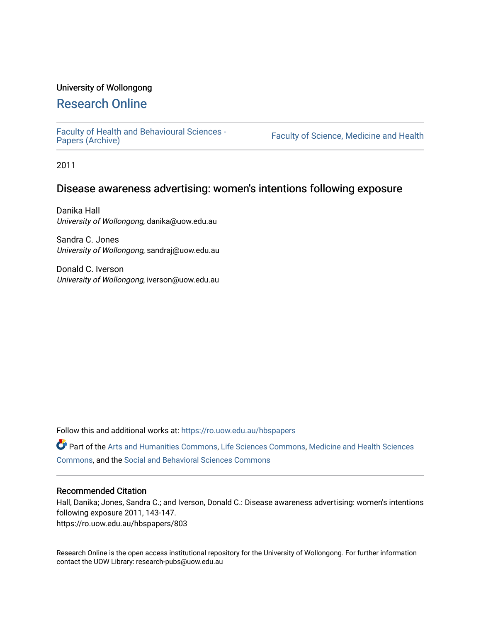## University of Wollongong

# [Research Online](https://ro.uow.edu.au/)

[Faculty of Health and Behavioural Sciences -](https://ro.uow.edu.au/hbspapers)<br>Papers (Archive)

Faculty of Science, Medicine and Health

2011

# Disease awareness advertising: women's intentions following exposure

Danika Hall University of Wollongong, danika@uow.edu.au

Sandra C. Jones University of Wollongong, sandraj@uow.edu.au

Donald C. Iverson University of Wollongong, iverson@uow.edu.au

Follow this and additional works at: [https://ro.uow.edu.au/hbspapers](https://ro.uow.edu.au/hbspapers?utm_source=ro.uow.edu.au%2Fhbspapers%2F803&utm_medium=PDF&utm_campaign=PDFCoverPages) 

Part of the [Arts and Humanities Commons,](http://network.bepress.com/hgg/discipline/438?utm_source=ro.uow.edu.au%2Fhbspapers%2F803&utm_medium=PDF&utm_campaign=PDFCoverPages) [Life Sciences Commons,](http://network.bepress.com/hgg/discipline/1016?utm_source=ro.uow.edu.au%2Fhbspapers%2F803&utm_medium=PDF&utm_campaign=PDFCoverPages) [Medicine and Health Sciences](http://network.bepress.com/hgg/discipline/648?utm_source=ro.uow.edu.au%2Fhbspapers%2F803&utm_medium=PDF&utm_campaign=PDFCoverPages) [Commons](http://network.bepress.com/hgg/discipline/648?utm_source=ro.uow.edu.au%2Fhbspapers%2F803&utm_medium=PDF&utm_campaign=PDFCoverPages), and the [Social and Behavioral Sciences Commons](http://network.bepress.com/hgg/discipline/316?utm_source=ro.uow.edu.au%2Fhbspapers%2F803&utm_medium=PDF&utm_campaign=PDFCoverPages)

## Recommended Citation

Hall, Danika; Jones, Sandra C.; and Iverson, Donald C.: Disease awareness advertising: women's intentions following exposure 2011, 143-147. https://ro.uow.edu.au/hbspapers/803

Research Online is the open access institutional repository for the University of Wollongong. For further information contact the UOW Library: research-pubs@uow.edu.au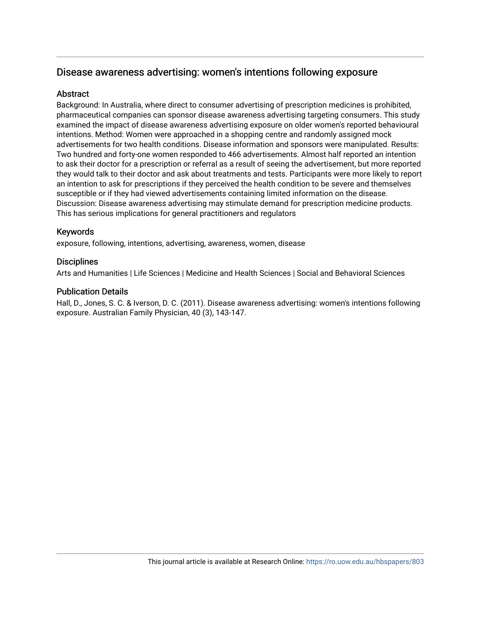# Disease awareness advertising: women's intentions following exposure

## **Abstract**

Background: In Australia, where direct to consumer advertising of prescription medicines is prohibited, pharmaceutical companies can sponsor disease awareness advertising targeting consumers. This study examined the impact of disease awareness advertising exposure on older women's reported behavioural intentions. Method: Women were approached in a shopping centre and randomly assigned mock advertisements for two health conditions. Disease information and sponsors were manipulated. Results: Two hundred and forty-one women responded to 466 advertisements. Almost half reported an intention to ask their doctor for a prescription or referral as a result of seeing the advertisement, but more reported they would talk to their doctor and ask about treatments and tests. Participants were more likely to report an intention to ask for prescriptions if they perceived the health condition to be severe and themselves susceptible or if they had viewed advertisements containing limited information on the disease. Discussion: Disease awareness advertising may stimulate demand for prescription medicine products. This has serious implications for general practitioners and regulators

## Keywords

exposure, following, intentions, advertising, awareness, women, disease

## **Disciplines**

Arts and Humanities | Life Sciences | Medicine and Health Sciences | Social and Behavioral Sciences

## Publication Details

Hall, D., Jones, S. C. & Iverson, D. C. (2011). Disease awareness advertising: women's intentions following exposure. Australian Family Physician, 40 (3), 143-147.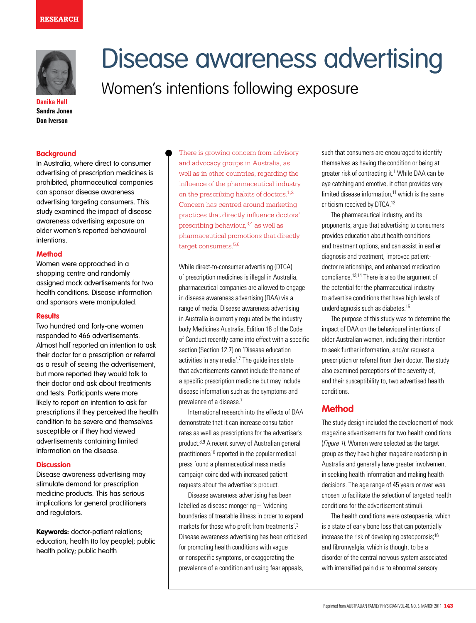

**Danika Hall Sandra Jones Don Iverson**

#### **Background**

In Australia, where direct to consumer advertising of prescription medicines is prohibited, pharmaceutical companies can sponsor disease awareness advertising targeting consumers. This study examined the impact of disease awareness advertising exposure on older women's reported behavioural intentions.

### **Method**

Women were approached in a shopping centre and randomly assigned mock advertisements for two health conditions. Disease information and sponsors were manipulated.

### **Results**

Two hundred and forty-one women responded to 466 advertisements. Almost half reported an intention to ask their doctor for a prescription or referral as a result of seeing the advertisement, but more reported they would talk to their doctor and ask about treatments and tests. Participants were more likely to report an intention to ask for prescriptions if they perceived the health condition to be severe and themselves susceptible or if they had viewed advertisements containing limited information on the disease.

## **Discussion**

Disease awareness advertising may stimulate demand for prescription medicine products. This has serious implications for general practitioners and regulators.

**Keywords:** doctor-patient relations; education, health (to lay people); public health policy; public health

There is growing concern from advisory and advocacy groups in Australia, as well as in other countries, regarding the influence of the pharmaceutical industry on the prescribing habits of doctors.1,2 Concern has centred around marketing practices that directly influence doctors' prescribing behaviour,3,4 as well as pharmaceutical promotions that directly target consumers.<sup>5,6</sup>

Women's intentions following exposure

Disease awareness advertising

While direct-to-consumer advertising (DTCA) of prescription medicines is illegal in Australia, pharmaceutical companies are allowed to engage in disease awareness advertising (DAA) via a range of media. Disease awareness advertising in Australia is currently regulated by the industry body Medicines Australia. Edition 16 of the Code of Conduct recently came into effect with a specific section (Section 12.7) on 'Disease education activities in any media'.<sup>7</sup> The guidelines state that advertisements cannot include the name of a specific prescription medicine but may include disease information such as the symptoms and prevalence of a disease.<sup>7</sup>

 International research into the effects of DAA demonstrate that it can increase consultation rates as well as prescriptions for the advertiser's product.8,9 A recent survey of Australian general practitioners $10$  reported in the popular medical press found a pharmaceutical mass media campaign coincided with increased patient requests about the advertiser's product.

Disease awareness advertising has been labelled as disease mongering – 'widening boundaries of treatable illness in order to expand markets for those who profit from treatments'.3 Disease awareness advertising has been criticised for promoting health conditions with vague or nonspecific symptoms, or exaggerating the prevalence of a condition and using fear appeals,

such that consumers are encouraged to identify themselves as having the condition or being at greater risk of contracting it.<sup>1</sup> While DAA can be eye catching and emotive, it often provides very limited disease information, $11$  which is the same criticism received by DTCA.12

 The pharmaceutical industry, and its proponents, argue that advertising to consumers provides education about health conditions and treatment options, and can assist in earlier diagnosis and treatment, improved patientdoctor relationships, and enhanced medication compliance.13,14 There is also the argument of the potential for the pharmaceutical industry to advertise conditions that have high levels of underdiagnosis such as diabetes.15

 The purpose of this study was to determine the impact of DAA on the behavioural intentions of older Australian women, including their intention to seek further information, and/or request a prescription or referral from their doctor. The study also examined perceptions of the severity of, and their susceptibility to, two advertised health conditions.

## **Method**

The study design included the development of mock magazine advertisements for two health conditions (Figure 1). Women were selected as the target group as they have higher magazine readership in Australia and generally have greater involvement in seeking health information and making health decisions. The age range of 45 years or over was chosen to facilitate the selection of targeted health conditions for the advertisement stimuli.

 The health conditions were osteopaenia, which is a state of early bone loss that can potentially increase the risk of developing osteoporosis;<sup>16</sup> and fibromyalgia, which is thought to be a disorder of the central nervous system associated with intensified pain due to abnormal sensory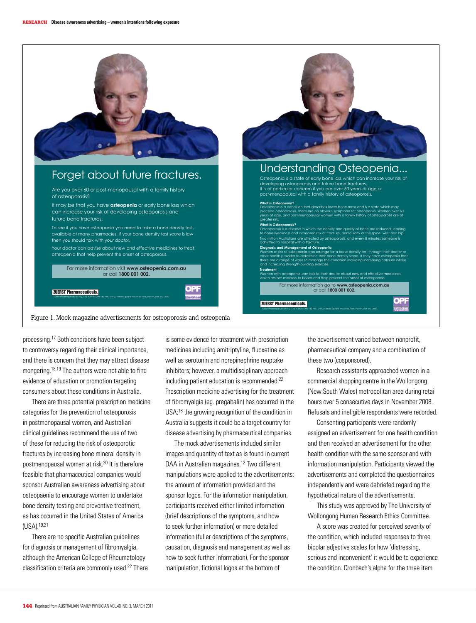

processing.17 Both conditions have been subject to controversy regarding their clinical importance, and there is concern that they may attract disease mongering.18,19 The authors were not able to find evidence of education or promotion targeting consumers about these conditions in Australia.

 There are three potential prescription medicine categories for the prevention of osteoporosis in postmenopausal women, and Australian clinical guidelines recommend the use of two of these for reducing the risk of osteoporotic fractures by increasing bone mineral density in postmenopausal women at risk.20 It is therefore feasible that pharmaceutical companies would sponsor Australian awareness advertising about osteopaenia to encourage women to undertake bone density testing and preventive treatment, as has occurred in the United States of America (USA).19,21

 There are no specific Australian guidelines for diagnosis or management of fibromyalgia, although the American College of Rheumatology classification criteria are commonly used.22 There is some evidence for treatment with prescription medicines including amitriptyline, fluoxetine as well as serotonin and norepinephrine reuptake inhibitors; however, a multidisciplinary approach including patient education is recommended.22 Prescription medicine advertising for the treatment of fibromyalgia (eg. pregabalin) has occurred in the USA;18 the growing recognition of the condition in Australia suggests it could be a target country for disease advertising by pharmaceutical companies.

 The mock advertisements included similar images and quantity of text as is found in current DAA in Australian magazines.<sup>12</sup> Two different manipulations were applied to the advertisements: the amount of information provided and the sponsor logos. For the information manipulation, participants received either limited information (brief descriptions of the symptoms, and how to seek further information) or more detailed information (fuller descriptions of the symptoms, causation, diagnosis and management as well as how to seek further information). For the sponsor manipulation, fictional logos at the bottom of

the advertisement varied between nonprofit, pharmaceutical company and a combination of these two (cosponsored).

Research assistants approached women in a commercial shopping centre in the Wollongong (New South Wales) metropolitan area during retail hours over 5 consecutive days in November 2008. Refusals and ineligible respondents were recorded.

 Consenting participants were randomly assigned an advertisement for one health condition and then received an advertisement for the other health condition with the same sponsor and with information manipulation. Participants viewed the advertisements and completed the questionnaires independently and were debriefed regarding the hypothetical nature of the advertisements.

 This study was approved by The University of Wollongong Human Research Ethics Committee.

A score was created for perceived severity of the condition, which included responses to three bipolar adjective scales for how 'distressing, serious and inconvenient' it would be to experience the condition. Cronbach's alpha for the three item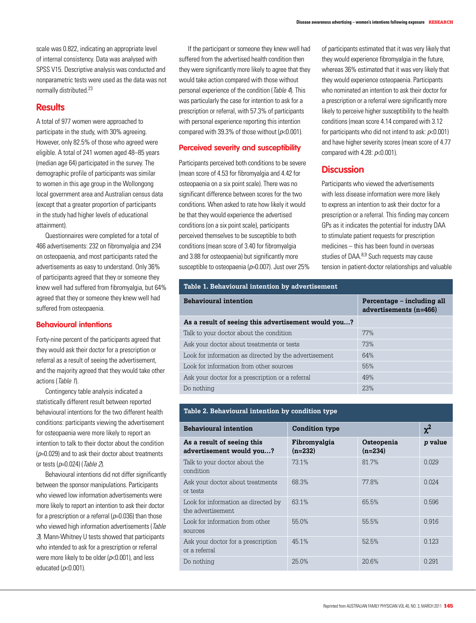scale was 0.822, indicating an appropriate level of internal consistency. Data was analysed with SPSS V15. Descriptive analysis was conducted and nonparametric tests were used as the data was not normally distributed.23

## **Results**

A total of 977 women were approached to participate in the study, with 30% agreeing. However, only 82.5% of those who agreed were eligible. A total of 241 women aged 48–85 years (median age 64) participated in the survey. The demographic profile of participants was similar to women in this age group in the Wollongong local government area and Australian census data (except that a greater proportion of participants in the study had higher levels of educational attainment).

Questionnaires were completed for a total of 466 advertisements: 232 on fibromyalgia and 234 on osteopaenia, and most participants rated the advertisements as easy to understand. Only 36% of participants agreed that they or someone they knew well had suffered from fibromyalgia, but 64% agreed that they or someone they knew well had suffered from osteopaenia.

### **Behavioural intentions**

Forty-nine percent of the participants agreed that they would ask their doctor for a prescription or referral as a result of seeing the advertisement, and the majority agreed that they would take other actions (Table 1).

 Contingency table analysis indicated a statistically different result between reported behavioural intentions for the two different health conditions: participants viewing the advertisement for osteopaenia were more likely to report an intention to talk to their doctor about the condition  $(p=0.029)$  and to ask their doctor about treatments or tests ( $p=0.024$ ) (Table 2).

Behavioural intentions did not differ significantly between the sponsor manipulations. Participants who viewed low information advertisements were more likely to report an intention to ask their doctor for a prescription or a referral ( $p=0.036$ ) than those who viewed high information advertisements (Table 3). Mann-Whitney U tests showed that participants who intended to ask for a prescription or referral were more likely to be older ( $p<0.001$ ), and less educated  $(p<0.001)$ .

 If the participant or someone they knew well had suffered from the advertised health condition then they were significantly more likely to agree that they would take action compared with those without personal experience of the condition (Table 4). This was particularly the case for intention to ask for a prescription or referral, with 57.3% of participants with personal experience reporting this intention compared with 39.3% of those without ( $p<0.001$ ).

### **Perceived severity and susceptibility**

Participants perceived both conditions to be severe (mean score of 4.53 for fibromyalgia and 4.42 for osteopaenia on a six point scale). There was no significant difference between scores for the two conditions. When asked to rate how likely it would be that they would experience the advertised conditions (on a six point scale), participants perceived themselves to be susceptible to both conditions (mean score of 3.40 for fibromyalgia and 3.88 for osteopaenia) but significantly more susceptible to osteopaenia ( $p=0.007$ ). Just over 25% of participants estimated that it was very likely that they would experience fibromyalgia in the future, whereas 36% estimated that it was very likely that they would experience osteopaenia. Participants who nominated an intention to ask their doctor for a prescription or a referral were significantly more likely to perceive higher susceptibility to the health conditions (mean score 4.14 compared with 3.12 for participants who did not intend to ask:  $p<0.001$ ) and have higher severity scores (mean score of 4.77 compared with 4.28:  $p<0.001$ ).

## **Discussion**

Participants who viewed the advertisements with less disease information were more likely to express an intention to ask their doctor for a prescription or a referral. This finding may concern GPs as it indicates the potential for industry DAA to stimulate patient requests for prescription medicines – this has been found in overseas studies of DAA.<sup>8,9</sup> Such requests may cause tension in patient-doctor relationships and valuable

| Table 1. Behavioural intention by advertisement       |                                                      |  |  |
|-------------------------------------------------------|------------------------------------------------------|--|--|
| <b>Behavioural intention</b>                          | Percentage – including all<br>advertisements (n=466) |  |  |
| As a result of seeing this advertisement would you?   |                                                      |  |  |
| Talk to your doctor about the condition               | 77%                                                  |  |  |
| Ask your doctor about treatments or tests             | 73%                                                  |  |  |
| Look for information as directed by the advertisement | 64%                                                  |  |  |
| Look for information from other sources               | 55%                                                  |  |  |
| Ask your doctor for a prescription or a referral      | 49%                                                  |  |  |
| Do nothing                                            | 23%                                                  |  |  |

| Table 2. Behavioural intention by condition type         |                           |                         |          |  |  |  |  |
|----------------------------------------------------------|---------------------------|-------------------------|----------|--|--|--|--|
| <b>Behavioural intention</b>                             | <b>Condition type</b>     |                         | $\chi^2$ |  |  |  |  |
| As a result of seeing this<br>advertisement would you?   | Fibromyalgia<br>$(n=232)$ | Osteopenia<br>$(n=234)$ | p value  |  |  |  |  |
| Talk to your doctor about the<br>condition               | 73.1%                     | 81.7%                   | 0.029    |  |  |  |  |
| Ask your doctor about treatments<br>or tests             | 68.3%                     | 77.8%                   | 0.024    |  |  |  |  |
| Look for information as directed by<br>the advertisement | 63.1%                     | 65.5%                   | 0.596    |  |  |  |  |
| Look for information from other<br>sources               | 55.0%                     | 55.5%                   | 0.916    |  |  |  |  |
| Ask your doctor for a prescription<br>or a referral      | 45.1%                     | 52.5%                   | 0.123    |  |  |  |  |
| Do nothing                                               | 25.0%                     | 20.6%                   | 0.291    |  |  |  |  |

#### **Table 2. Behavioural intention by condition type**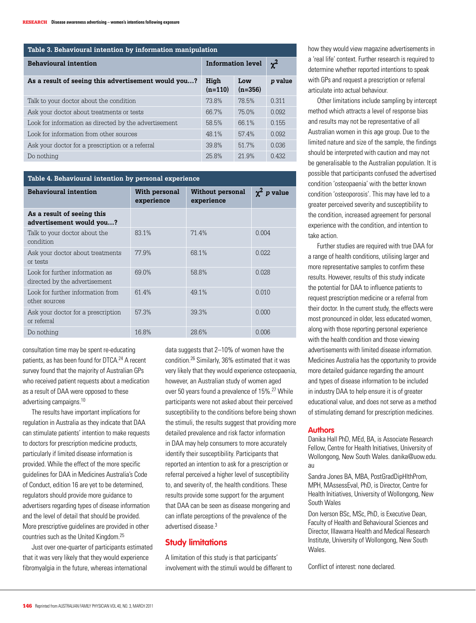| Table 3. Behavioural intention by information manipulation |                          |                  |          |  |  |
|------------------------------------------------------------|--------------------------|------------------|----------|--|--|
| <b>Behavioural intention</b>                               | <b>Information level</b> |                  | $\chi^2$ |  |  |
| As a result of seeing this advertisement would you?        | High<br>$(n=110)$        | Low<br>$(n=356)$ | p value  |  |  |
| Talk to your doctor about the condition                    | 73.8%                    | 78.5%            | 0.311    |  |  |
| Ask your doctor about treatments or tests                  | 66.7%                    | 75.0%            | 0.092    |  |  |
| Look for information as directed by the advertisement      | 58.5%                    | 66.1%            | 0.155    |  |  |
| Look for information from other sources                    | 48.1%                    | 57.4%            | 0.092    |  |  |
| Ask your doctor for a prescription or a referral           | 39.8%                    | 51.7%            | 0.036    |  |  |
| Do nothing                                                 | 25.8%                    | 21.9%            | 0.432    |  |  |

#### **Table 4. Behavioural intention by personal experience**

| <b>Behavioural intention</b>                                     | With personal<br>experience | <b>Without personal</b><br>experience | $\chi^2$<br>p value |  |  |  |
|------------------------------------------------------------------|-----------------------------|---------------------------------------|---------------------|--|--|--|
| As a result of seeing this<br>advertisement would you?           |                             |                                       |                     |  |  |  |
| Talk to your doctor about the<br>condition                       | 83.1%                       | 71.4%                                 | 0.004               |  |  |  |
| Ask your doctor about treatments<br>or tests                     | 77.9%                       | 68.1%                                 | 0.022               |  |  |  |
| Look for further information as<br>directed by the advertisement | 69.0%                       | 58.8%                                 | 0.028               |  |  |  |
| Look for further information from<br>other sources               | 61.4%                       | 49.1%                                 | 0.010               |  |  |  |
| Ask your doctor for a prescription<br>or referral                | 57.3%                       | 39.3%                                 | 0.000               |  |  |  |
| Do nothing                                                       | 16.8%                       | 28.6%                                 | 0.006               |  |  |  |
|                                                                  |                             |                                       |                     |  |  |  |

consultation time may be spent re-educating patients, as has been found for DTCA.<sup>24</sup> A recent survey found that the majority of Australian GPs who received patient requests about a medication as a result of DAA were opposed to these advertising campaigns.10

 The results have important implications for regulation in Australia as they indicate that DAA can stimulate patients' intention to make requests to doctors for prescription medicine products, particularly if limited disease information is provided. While the effect of the more specific guidelines for DAA in Medicines Australia's Code of Conduct, edition 16 are yet to be determined, regulators should provide more guidance to advertisers regarding types of disease information and the level of detail that should be provided. More prescriptive guidelines are provided in other countries such as the United Kingdom.25

Just over one-quarter of participants estimated that it was very likely that they would experience fibromyalgia in the future, whereas international

data suggests that 2–10% of women have the condition.26 Similarly, 36% estimated that it was very likely that they would experience osteopaenia, however, an Australian study of women aged over 50 years found a prevalence of 15%.<sup>27</sup> While participants were not asked about their perceived susceptibility to the conditions before being shown the stimuli, the results suggest that providing more detailed prevalence and risk factor information in DAA may help consumers to more accurately identify their susceptibility. Participants that reported an intention to ask for a prescription or referral perceived a higher level of susceptibility to, and severity of, the health conditions. These results provide some support for the argument that DAA can be seen as disease mongering and can inflate perceptions of the prevalence of the advertised disease.3

## **Study limitations**

A limitation of this study is that participants' involvement with the stimuli would be different to how they would view magazine advertisements in a 'real life' context. Further research is required to determine whether reported intentions to speak with GPs and request a prescription or referral articulate into actual behaviour.

 Other limitations include sampling by intercept method which attracts a level of response bias and results may not be representative of all Australian women in this age group. Due to the limited nature and size of the sample, the findings should be interpreted with caution and may not be generalisable to the Australian population. It is possible that participants confused the advertised condition 'osteopaenia' with the better known condition 'osteoporosis'. This may have led to a greater perceived severity and susceptibility to the condition, increased agreement for personal experience with the condition, and intention to take action.

Further studies are required with true DAA for a range of health conditions, utilising larger and more representative samples to confirm these results. However, results of this study indicate the potential for DAA to influence patients to request prescription medicine or a referral from their doctor. In the current study, the effects were most pronounced in older, less educated women, along with those reporting personal experience with the health condition and those viewing advertisements with limited disease information. Medicines Australia has the opportunity to provide more detailed guidance regarding the amount and types of disease information to be included in industry DAA to help ensure it is of greater educational value, and does not serve as a method of stimulating demand for prescription medicines.

### **Authors**

Danika Hall PhD, MEd, BA, is Associate Research Fellow, Centre for Health Initiatives, University of Wollongong, New South Wales. danika@uow.edu. au

Sandra Jones BA, MBA, PostGradDipHlthProm, MPH, MAssessEval, PhD, is Director, Centre for Health Initiatives, University of Wollongong, New South Wales

Don Iverson BSc, MSc, PhD, is Executive Dean, Faculty of Health and Behavioural Sciences and Director, Illawarra Health and Medical Research Institute, University of Wollongong, New South Wales.

Conflict of interest: none declared.